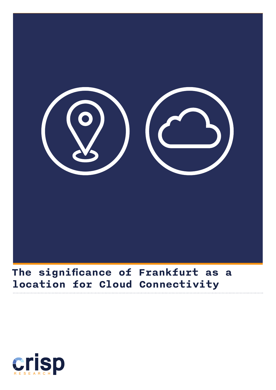

### **The significance of Frankfurt as a location for Cloud Connectivity**

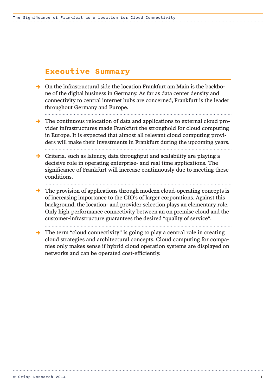### **Executive Summary**

On the infrastructural side the location Frankfurt am Main is the backbo-**→** ne of the digital business in Germany. As far as data center density and connectivity to central internet hubs are concerned, Frankfurt is the leader throughout Germany and Europe.

- **→** The continuous relocation of data and applications to external cloud provider infrastructures made Frankfurt the stronghold for cloud computing in Europe. It is expected that almost all relevant cloud computing providers will make their investments in Frankfurt during the upcoming years.
- Criteria, such as latency, data throughput and scalability are playing a **→** decisive role in operating enterprise- and real time applications. The significance of Frankfurt will increase continuously due to meeting these conditions.

- The provision of applications through modern cloud-operating concepts is **→** of increasing importance to the CIO's of larger corporations. Against this background, the location- and provider selection plays an elementary role. Only high-performance connectivity between an on premise cloud and the customer-infrastructure guarantees the desired "quality of service".
- The term "cloud connectivity" is going to play a central role in creating cloud strategies and architectural concepts. Cloud computing for companies only makes sense if hybrid cloud operation systems are displayed on networks and can be operated cost-efficiently. **→**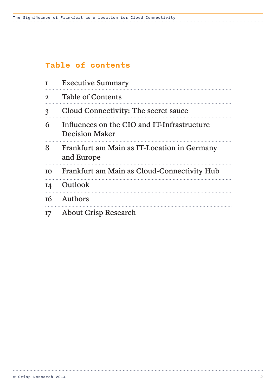### **Table of contents**

|              | <b>Executive Summary</b>                                             |
|--------------|----------------------------------------------------------------------|
| $\mathbf{2}$ | <b>Table of Contents</b>                                             |
| 3            | Cloud Connectivity: The secret sauce                                 |
| 6            | Influences on the CIO and IT-Infrastructure<br><b>Decision Maker</b> |
| 8            | Frankfurt am Main as IT-Location in Germany<br>and Europe            |
| IO           | Frankfurt am Main as Cloud-Connectivity Hub                          |
| $I_4$        | Outlook                                                              |
| <b>16</b>    | Authors                                                              |
| I7           | <b>About Crisp Research</b>                                          |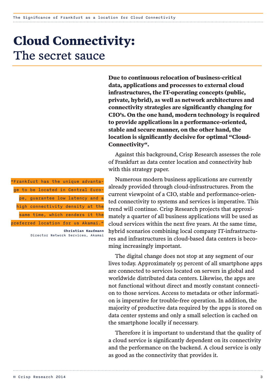## **Cloud Connectivity:**  The secret sauce

**Due to continuous relocation of business-critical data, applications and processes to external cloud infrastructures, the IT-operating concepts (public, private, hybrid), as well as network architectures and connectivity strategies are significantly changing for CIO's. On the one hand, modern technology is required to provide applications in a performance-oriented, stable and secure manner, on the other hand, the location is significantly decisive for optimal "Cloud-Connectivity".**

Against this background, Crisp Research assesses the role of Frankfurt as data center location and connectivity hub with this strategy paper.

Numerous modern business applications are currently already provided through cloud-infrastructures. From the current viewpoint of a CIO, stable and performance-oriented connectivity to systems and services is imperative. This trend will continue. Crisp Research projects that approximately a quarter of all business applications will be used as cloud services within the next five years. At the same time, hybrid scenarios combining local company IT-infrastructures and infrastructures in cloud-based data centers is becoming increasingly important.

The digital change does not stop at any segment of our lives today. Approximately 95 percent of all smartphone apps are connected to services located on servers in global and worldwide distributed data centers. Likewise, the apps are not functional without direct and mostly constant connection to those services. Access to metadata or other information is imperative for trouble-free operation. In addition, the majority of productive data required by the apps is stored on data center systems and only a small selection is cached on the smartphone locally if necessary.

Therefore it is important to understand that the quality of a cloud service is significantly dependent on its connectivity and the performance on the backend. A cloud service is only as good as the connectivity that provides it.

| "Frankfurt has the unique advanta- |
|------------------------------------|
| ge to be located in Central Euro-  |
| pe, guarantee low latency and a    |
| high connectivity density at the   |
| same time, which renders it the    |
| preferred location for us Akamai." |
|                                    |

**Christian Kaufmann** Director Network Services, Akamai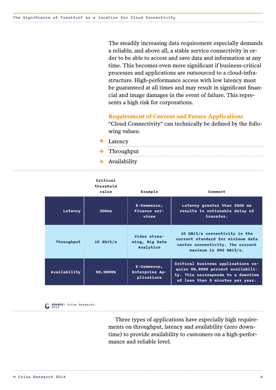The steadily increasing data requirement especially demands a reliable, and above all, a stable service connectivity in order to be able to access and save data and information at any time. This becomes even more significant if business-critical processes and applications are outsourced to a cloud-infrastructure. High-performance access with low latency must be guaranteed at all times and may result in significant financial and image damages in the event of failure. This represents a high risk for corporations.

#### **Requirement of Current and Future Applications**

"Cloud Connectivity" can technically be defined by the following values:

- Latency **→**
- Throughput **→**
- 
- Availability **→**

|              | Critical<br>threshold<br>value | Example                                     | Comment                                                                                                                                           |
|--------------|--------------------------------|---------------------------------------------|---------------------------------------------------------------------------------------------------------------------------------------------------|
| Latency      | <b>300ms</b>                   | E-Commerce,<br>Finance ser-<br>vices        | Latency greater than 2500 ms<br>results in noticeable delay of<br>transfer.                                                                       |
| Throughput   | 10 $Gbit/s$                    | Video strea-<br>ming, Big Data<br>Analytics | 10 GBit/s connectivity is the<br>current standard for minimum data<br>center connectivity. The current<br>maximum is 200 GBit/s.                  |
| Availability | 99,9999%                       | E-Commerce,<br>Enterprise Ap-<br>plications | Critical business applications re-<br>quire 99,9999 percent availabili-<br>ty. This corresponds to a downtime<br>of less than 5 minutes per year. |



Three types of applications have especially high requirements on throughput, latency and availability (zero downtime) to provide availability to customers on a high-performance and reliable level.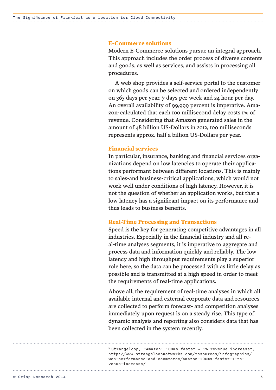#### **E-Commerce solutions**

Modern E-Commerce solutions pursue an integral approach. This approach includes the order process of diverse contents and goods, as well as services, and assists in processing all procedures.

A web shop provides a self-service portal to the customer on which goods can be selected and ordered independently on 365 days per year, 7 days per week and 24 hour per day. An overall availability of 99,999 percent is imperative. Amazon<sup>1</sup> calculated that each 100 millisecond delay costs 1% of revenue. Considering that Amazon generated sales in the amount of 48 billion US-Dollars in 2012, 100 milliseconds represents approx. half a billion US-Dollars per year.

#### **Financial services**

In particular, insurance, banking and financial services organizations depend on low latencies to operate their applications performant between different locations. This is mainly to sales-and business-critical applications, which would not work well under conditions of high latency. However, it is not the question of whether an application works, but that a low latency has a significant impact on its performance and thus leads to business benefits.

#### **Real-Time Processing and Transactions**

Speed is the key for generating competitive advantages in all industries. Especially in the financial industry and all real-time analyses segments, it is imperative to aggregate and process data and information quickly and reliably. The low latency and high throughput requirements play a superior role here, so the data can be processed with as little delay as possible and is transmitted at a high speed in order to meet the requirements of real-time applications.

Above all, the requirement of real-time analyses in which all available internal and external corporate data and resources are collected to perform forecast- and competition analyses immediately upon request is on a steady rise. This type of dynamic analysis and reporting also considers data that has been collected in the system recently.

1 Strangeloop, "Amazon: 100ms faster = 1% revenue increase", http://www.strangeloopnetworks.com/resources/infographics/ web-performance-and-ecommerce/amazon-100ms-faster-1-revenue-increase/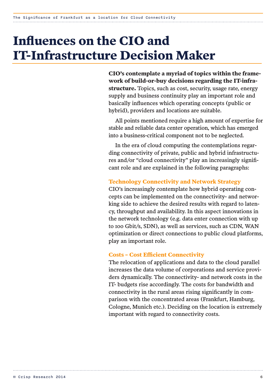## **Influences on the CIO and IT-Infrastructure Decision Maker**

**CIO's contemplate a myriad of topics within the framework of build-or-buy decisions regarding the IT-infrastructure.** Topics, such as cost, security, usage rate, energy supply and business continuity play an important role and basically influences which operating concepts (public or hybrid), providers and locations are suitable.

All points mentioned require a high amount of expertise for stable and reliable data center operation, which has emerged into a business-critical component not to be neglected.

In the era of cloud computing the contemplations regarding connectivity of private, public and hybrid infrastructures and/or "cloud connectivity" play an increasingly significant role and are explained in the following paragraphs:

### **Technology Connectivity and Network Strategy**

CIO's increasingly contemplate how hybrid operating concepts can be implemented on the connectivity- and networking side to achieve the desired results with regard to latency, throughput and availability. In this aspect innovations in the network technology (e.g. data enter connection with up to 100 Gbit/s, SDN), as well as services, such as CDN, WAN optimization or direct connections to public cloud platforms, play an important role.

### **Costs – Cost Efficient Connectivity**

The relocation of applications and data to the cloud parallel increases the data volume of corporations and service providers dynamically. The connectivity- and network costs in the IT- budgets rise accordingly. The costs for bandwidth and connectivity in the rural areas rising significantly in comparison with the concentrated areas (Frankfurt, Hamburg, Cologne, Munich etc.). Deciding on the location is extremely important with regard to connectivity costs.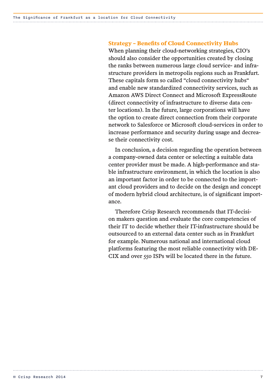#### **Strategy – Benefits of Cloud Connectivity Hubs**

When planning their cloud-networking strategies, CIO's should also consider the opportunities created by closing the ranks between numerous large cloud service- and infrastructure providers in metropolis regions such as Frankfurt. These capitals form so called "cloud connectivity hubs" and enable new standardized connectivity services, such as Amazon AWS Direct Connect and Microsoft ExpressRoute (direct connectivity of infrastructure to diverse data center locations). In the future, large corporations will have the option to create direct connection from their corporate network to Salesforce or Microsoft cloud-services in order to increase performance and security during usage and decrease their connectivity cost.

In conclusion, a decision regarding the operation between a company-owned data center or selecting a suitable data center provider must be made. A high-performance and stable infrastructure environment, in which the location is also an important factor in order to be connected to the important cloud providers and to decide on the design and concept of modern hybrid cloud architecture, is of significant importance.

Therefore Crisp Research recommends that IT-decision makers question and evaluate the core competencies of their IT to decide whether their IT-infrastructure should be outsourced to an external data center such as in Frankfurt for example. Numerous national and international cloud platforms featuring the most reliable connectivity with DE-CIX and over 550 ISPs will be located there in the future.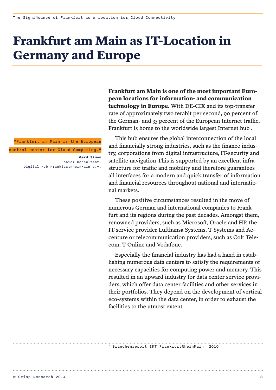### **Frankfurt am Main as IT-Location in Germany and Europe**

**Frankfurt am Main is one of the most important European locations for information- and communication technology in Europe.** With DE-CIX and its top-transfer rate of approximately two terabit per second, 90 percent of the German- and 35 percent of the European Internet traffic, Frankfurt is home to the worldwide largest Internet hub .

This hub ensures the global interconnection of the local and financially strong industries, such as the finance industry, corporations from digital infrastructure, IT-security and satellite navigation This is supported by an excellent infrastructure for traffic and mobility and therefore guarantees all interfaces for a modern and quick transfer of information and financial resources throughout national and international markets.

These positive circumstances resulted in the move of numerous German and international companies to Frankfurt and its regions during the past decades. Amongst them, renowned providers, such as Microsoft, Oracle and HP, the IT-service provider Lufthansa Systems, T-Systems and Accenture or telecommunication providers, such as Colt Telecom, T-Online and Vodafone.

Especially the financial industry has had a hand in establishing numerous data centers to satisfy the requirements of necessary capacities for computing power and memory. This resulted in an upward industry for data center service providers, which offer data center facilities and other services in their portfolios. They depend on the development of vertical eco-systems within the data center, in order to exhaust the facilities to the utmost extent.

2 Branchenreport IKT FrankfurtRheinMain, 2010

"Frankfurt am Main is the European control center for Cloud Computing." **Gerd Simon**

Senior Consultant, Digital Hub FrankfurtRheinMain e.V.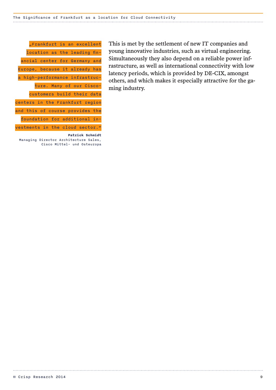| "Frankfurt is an excellent      |  |  |  |  |  |
|---------------------------------|--|--|--|--|--|
| location as the leading fin-    |  |  |  |  |  |
| ancial center for Germany and   |  |  |  |  |  |
| Europe, because it already has  |  |  |  |  |  |
| a high-performance infrastruc-  |  |  |  |  |  |
| ture. Many of our Cisco-        |  |  |  |  |  |
| customers build their data      |  |  |  |  |  |
| centers in the Frankfurt region |  |  |  |  |  |
| and this of course provides the |  |  |  |  |  |
| foundation for additional in-   |  |  |  |  |  |
| vestments in the cloud sector." |  |  |  |  |  |
| Patrick Schmidt                 |  |  |  |  |  |

This is met by the settlement of new IT companies and young innovative industries, such as virtual engineering. Simultaneously they also depend on a reliable power infrastructure, as well as international connectivity with low latency periods, which is provided by DE-CIX, amongst others, and which makes it especially attractive for the gaming industry.

Managing Director Architecture Sales, Cisco Mittel- und Osteuropa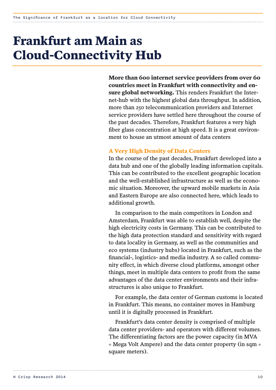## **Frankfurt am Main as Cloud-Connectivity Hub**

**More than 600 internet service providers from over 60 countries meet in Frankfurt with connectivity and ensure global networking.** This renders Frankfurt the Internet-hub with the highest global data throughput. In addition, more than 250 telecommunication providers and Internet service providers have settled here throughout the course of the past decades. Therefore, Frankfurt features a very high fiber glass concentration at high speed. It is a great environment to house an utmost amount of data centers

#### **A Very High Density of Data Centers**

In the course of the past decades, Frankfurt developed into a data hub and one of the globally leading information capitals. This can be contributed to the excellent geographic location and the well-established infrastructure as well as the economic situation. Moreover, the upward mobile markets in Asia and Eastern Europe are also connected here, which leads to additional growth.

In comparison to the main competitors in London and Amsterdam, Frankfurt was able to establish well, despite the high electricity costs in Germany. This can be contributed to the high data protection standard and sensitivity with regard to data locality in Germany, as well as the communities and eco systems (industry hubs) located in Frankfurt, such as the financial-, logistics- and media industry. A so called community effect, in which diverse cloud platforms, amongst other things, meet in multiple data centers to profit from the same advantages of the data center environments and their infrastructures is also unique to Frankfurt.

For example, the data center of German customs is located in Frankfurt. This means, no container moves in Hamburg until it is digitally processed in Frankfurt.

Frankfurt's data center density is comprised of multiple data center providers- and operators with different volumes. The differentiating factors are the power capacity (in MVA = Mega Volt Ampere) and the data center property (in sqm = square meters).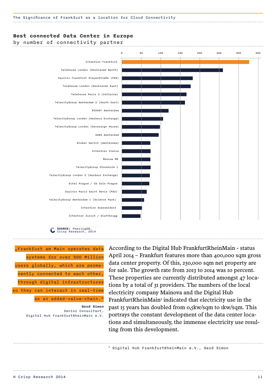The Significance of Frankfurt as a location for Cloud Connectivity

### **Best connected Data Center in Europe**

by number of connectivity partner



| "Frankfurt am Main operates data  |
|-----------------------------------|
| systems for over 500 Million      |
| users globally, which are perma-  |
| nently connected to each other,   |
| through digital infrastructures   |
| so they can interact in real-time |
| as an added-value-chain."         |
| Gerd Simon                        |

Senior Consultant, Digital Hub FrankfurtRheinMain e.V.

According to the Digital Hub FrankfurtRheinMain - status April 2014 – Frankfurt features more than 400,000 sqm gross data center property. Of this, 230,000 sqm net property are for sale. The growth rate from 2013 to 2014 was 10 percent. These properties are currently distributed amongst 47 locations by a total of 31 providers. The numbers of the local electricity company Mainova and the Digital Hub FrankfurtRheinMain<sup>3</sup> indicated that electricity use in the past 15 years has doubled from 0,5kw/sqm to 1kw/sqm. This portrays the constant development of the data center locations and simultaneously, the immense electricity use resulting from this development.

3 Digital Hub FrankfurtRheinMain e.V., Gerd Simon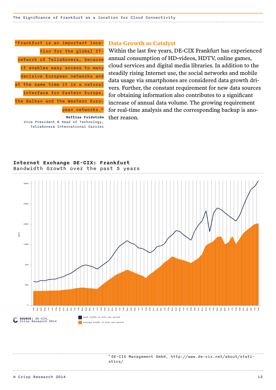

**Mattias Fridström** Vice President & Head of Technology, TeliaSonera International Carrier

#### **Data Growth as Catalyst**

Within the last five years, DE-CIX Frankfurt has experienced annual consumption of HD-videos, HDTV, online games, cloud services and digital media libraries. In addition to the steadily rising Internet use, the social networks and mobile data usage via smartphones are considered data growth drivers. Further, the constant requirement for new data sources for obtaining information also contributes to a significant increase of annual data volume. The growing requirement for real-time analysis and the corresponding backup is another reason.



4 DE-CIX Management GmbH, http://www.de-cix.net/about/statistics/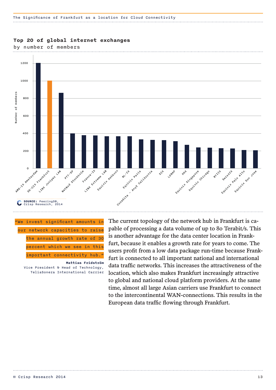

### **Top 20 of global internet exchanges**

by number of members



TeliaSonera International Carrier

The current topology of the network hub in Frankfurt is capable of processing a data volume of up to 80 Terabit/s. This is another advantage for the data center location in Frankfurt, because it enables a growth rate for years to come. The users profit from a low data package run-time because Frankfurt is connected to all important national and international data traffic networks. This increases the attractiveness of the location, which also makes Frankfurt increasingly attractive to global and national cloud platform providers. At the same time, almost all large Asian carriers use Frankfurt to connect to the intercontinental WAN-connections. This results in the European data traffic flowing through Frankfurt.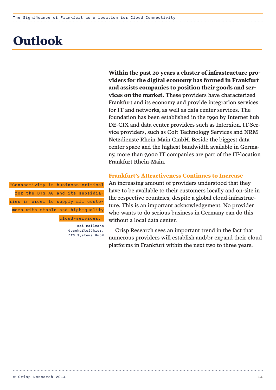### **Outlook**

**Within the past 20 years a cluster of infrastructure providers for the digital economy has formed in Frankfurt and assists companies to position their goods and services on the market.** These providers have characterized Frankfurt and its economy and provide integration services for IT and networks, as well as data center services. The foundation has been established in the 1990 by Internet hub DE-CIX and data center providers such as Interxion, IT-Service providers, such as Colt Technology Services and NRM Netzdienste Rhein-Main GmbH. Beside the biggest data center space and the highest bandwidth available in Germany, more than 7,000 IT companies are part of the IT-location Frankfurt Rhein-Main.

#### **Frankfurt's Attractiveness Continues to Increase**

An increasing amount of providers understood that they have to be available to their customers locally and on-site in the respective countries, despite a global cloud-infrastructure. This is an important acknowledgement. No provider who wants to do serious business in Germany can do this without a local data center.

Crisp Research sees an important trend in the fact that numerous providers will establish and/or expand their cloud platforms in Frankfurt within the next two to three years.

| "Connectivity is business-critical |                  |
|------------------------------------|------------------|
| for the DTS AG and its subsidia-   |                  |
| ries in order to supply all custo- |                  |
| mers with stable and high-quality  |                  |
|                                    | cloud-services." |

**Kai Mallmann** Geschäftsführer, DTS Systems GmbH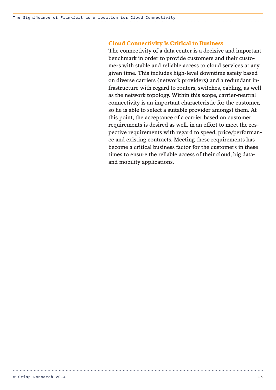### **Cloud Connectivity is Critical to Business**

The connectivity of a data center is a decisive and important benchmark in order to provide customers and their customers with stable and reliable access to cloud services at any given time. This includes high-level downtime safety based on diverse carriers (network providers) and a redundant infrastructure with regard to routers, switches, cabling, as well as the network topology. Within this scope, carrier-neutral connectivity is an important characteristic for the customer, so he is able to select a suitable provider amongst them. At this point, the acceptance of a carrier based on customer requirements is desired as well, in an effort to meet the respective requirements with regard to speed, price/performance and existing contracts. Meeting these requirements has become a critical business factor for the customers in these times to ensure the reliable access of their cloud, big dataand mobility applications.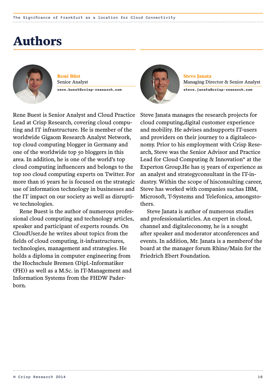### **Authors**



**René Büst** Senior Analyst **rene.buest@crisp-research.com**



**Steve Janata** Managing Director & Senior Analyst **steve.janata@crisp-research.com**

Rene Buest is Senior Analyst and Cloud Practice Lead at Crisp Research, covering cloud computing and IT infrastructure. He is member of the worldwide Gigaom Research Analyst Network, top cloud computing blogger in Germany and one of the worldwide top 50 bloggers in this area. In addition, he is one of the world's top cloud computing influencers and belongs to the top 100 cloud computing experts on Twitter. For more than 16 years he is focused on the strategic use of information technology in businesses and the IT impact on our society as well as disruptive technologies.

Rene Buest is the author of numerous professional cloud computing and technology articles, speaker and participant of experts rounds. On CloudUser.de he writes about topics from the fields of cloud computing, it-infrastructures, technologies, management and strategies. He holds a diploma in computer engineering from the Hochschule Bremen (Dipl.-Informatiker (FH)) as well as a M.Sc. in IT-Management and Information Systems from the FHDW Paderborn.

Steve Janata manages the research projects for cloud computing,digital customer experience and mobility. He advises andsupports IT-users and providers on their journey to a digitaleconomy. Prior to his employment with Crisp Research, Steve was the Senior Advisor and Practice Lead for Cloud Computing & Innovation" at the Experton Group.He has 15 years of experience as an analyst and strategyconsultant in the IT-industry. Within the scope of hisconsulting career, Steve has worked with companies suchas IBM, Microsoft, T-Systems and Telefonica, amongstothers.

Steve Janata is author of numerous studies and professionalarticles. An expert in cloud, channel and digitaleconomy, he is a sought after speaker and moderator atconferences and events. In addition, Mr. Janata is a memberof the board at the manager forum Rhine/Main for the Friedrich Ebert Foundation.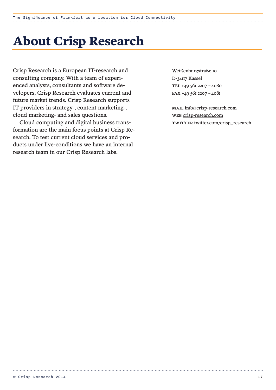### **About Crisp Research**

Crisp Research is a European IT-research and consulting company. With a team of experienced analysts, consultants and software developers, Crisp Research evaluates current and future market trends. Crisp Research supports IT-providers in strategy-, content marketing-, cloud marketing- and sales questions.

Cloud computing and digital business transformation are the main focus points at Crisp Research. To test current cloud services and products under live-conditions we have an internal research team in our Crisp Research labs.

Weißenburgstraße 10 D-34117 Kassel **TEL** +49 561 2207 – 4080 **FAX** +49 561 2207 – 4081

**MAIL** info@crisp-research.com **WEB** crisp-research.com **TWITTER** twitter.com/crisp\_research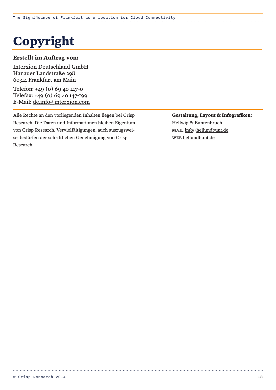# **Copyright**

### **Erstellt im Auftrag von:**

Interxion Deutschland GmbH Hanauer Landstraße 298 60314 Frankfurt am Main

Telefon: +49 (0) 69 40 147-0 Telefax: +49 (0) 69 40 147-199 E-Mail: de.info@interxion.com

Alle Rechte an den vorliegenden Inhalten liegen bei Crisp Research. Die Daten und Informationen bleiben Eigentum von Crisp Research. Vervielfältigungen, auch auszugsweise, bedürfen der schriftlichen Genehmigung von Crisp Research.

**Gestaltung, Layout & Infografiken:** Hellwig & Buntenbruch **MAIL** info@hellundbunt.de **WEB** hellundbunt.de